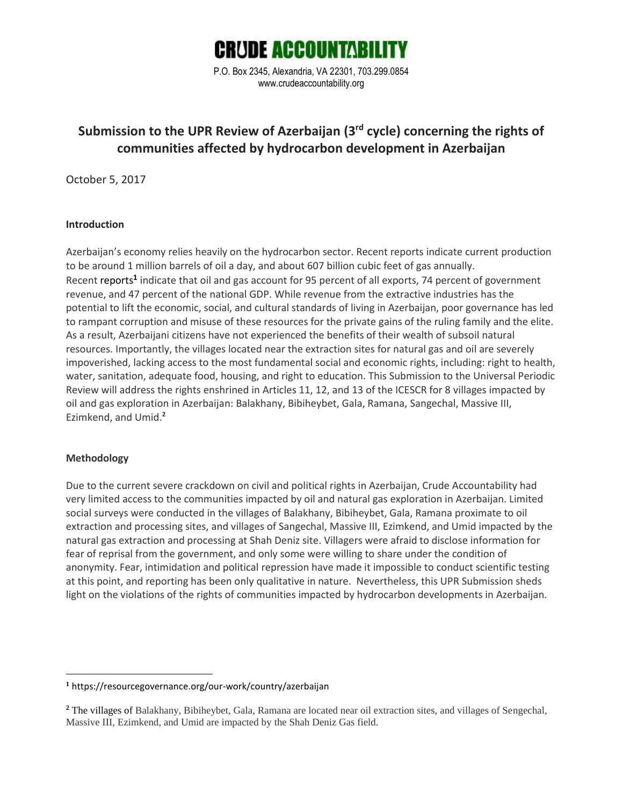

P.O. Box 2345, Alexandria, VA 22301, 703.299.0854 www.crudeaccountability.org

# **Submission to the UPR Review of Azerbaijan (3rd cycle) concerning the rights of communities affected by hydrocarbon development in Azerbaijan**

October 5, 2017

### **Introduction**

Azerbaijan's economy relies heavily on the hydrocarbon sector. Recent reports indicate current production to be around 1 million barrels of oil a day, and about 607 billion cubic feet of gas annually. Recent reports<sup>1</sup> indicate that oil and gas account for 95 percent of all exports, 74 percent of government revenue, and 47 percent of the national GDP. While revenue from the extractive industries has the potential to lift the economic, social, and cultural standards of living in Azerbaijan, poor governance has led to rampant corruption and misuse of these resources for the private gains of the ruling family and the elite. As a result, Azerbaijani citizens have not experienced the benefits of their wealth of subsoil natural resources. Importantly, the villages located near the extraction sites for natural gas and oil are severely impoverished, lacking access to the most fundamental social and economic rights, including: right to health, water, sanitation, adequate food, housing, and right to education. This Submission to the Universal Periodic Review will address the rights enshrined in Articles 11, 12, and 13 of the ICESCR for 8 villages impacted by oil and gas exploration in Azerbaijan: Balakhany, Bibiheybet, Gala, Ramana, Sangechal, Massive III, Ezimkend, and Umid.**<sup>2</sup>**

### **Methodology**

 $\overline{a}$ 

Due to the current severe crackdown on civil and political rights in Azerbaijan, Crude Accountability had very limited access to the communities impacted by oil and natural gas exploration in Azerbaijan. Limited social surveys were conducted in the villages of Balakhany, Bibiheybet, Gala, Ramana proximate to oil extraction and processing sites, and villages of Sangechal, Massive III, Ezimkend, and Umid impacted by the natural gas extraction and processing at Shah Deniz site. Villagers were afraid to disclose information for fear of reprisal from the government, and only some were willing to share under the condition of anonymity. Fear, intimidation and political repression have made it impossible to conduct scientific testing at this point, and reporting has been only qualitative in nature. Nevertheless, this UPR Submission sheds light on the violations of the rights of communities impacted by hydrocarbon developments in Azerbaijan.

**<sup>1</sup>** https://resourcegovernance.org/our-work/country/azerbaijan

**<sup>2</sup>** The villages of Balakhany, Bibiheybet, Gala, Ramana are located near oil extraction sites, and villages of Sengechal, Massive III, Ezimkend, and Umid are impacted by the Shah Deniz Gas field.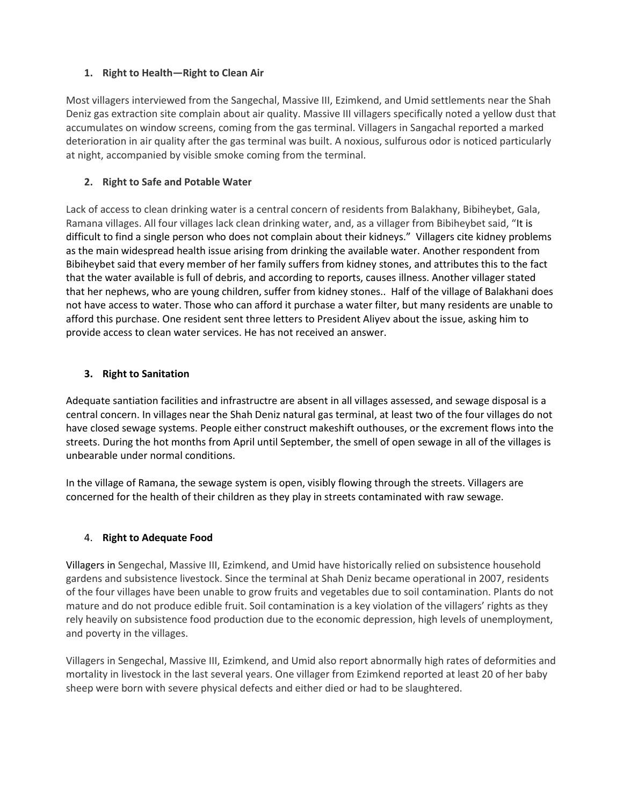### **1. Right to Health—Right to Clean Air**

Most villagers interviewed from the Sangechal, Massive III, Ezimkend, and Umid settlements near the Shah Deniz gas extraction site complain about air quality. Massive III villagers specifically noted a yellow dust that accumulates on window screens, coming from the gas terminal. Villagers in Sangachal reported a marked deterioration in air quality after the gas terminal was built. A noxious, sulfurous odor is noticed particularly at night, accompanied by visible smoke coming from the terminal.

# **2. Right to Safe and Potable Water**

Lack of access to clean drinking water is a central concern of residents from Balakhany, Bibiheybet, Gala, Ramana villages. All four villages lack clean drinking water, and, as a villager from Bibiheybet said, "It is difficult to find a single person who does not complain about their kidneys." Villagers cite kidney problems as the main widespread health issue arising from drinking the available water. Another respondent from Bibiheybet said that every member of her family suffers from kidney stones, and attributes this to the fact that the water available is full of debris, and according to reports, causes illness. Another villager stated that her nephews, who are young children, suffer from kidney stones.. Half of the village of Balakhani does not have access to water. Those who can afford it purchase a water filter, but many residents are unable to afford this purchase. One resident sent three letters to President Aliyev about the issue, asking him to provide access to clean water services. He has not received an answer.

### **3. Right to Sanitation**

Adequate santiation facilities and infrastructre are absent in all villages assessed, and sewage disposal is a central concern. In villages near the Shah Deniz natural gas terminal, at least two of the four villages do not have closed sewage systems. People either construct makeshift outhouses, or the excrement flows into the streets. During the hot months from April until September, the smell of open sewage in all of the villages is unbearable under normal conditions.

In the village of Ramana, the sewage system is open, visibly flowing through the streets. Villagers are concerned for the health of their children as they play in streets contaminated with raw sewage.

# 4. **Right to Adequate Food**

Villagers in Sengechal, Massive III, Ezimkend, and Umid have historically relied on subsistence household gardens and subsistence livestock. Since the terminal at Shah Deniz became operational in 2007, residents of the four villages have been unable to grow fruits and vegetables due to soil contamination. Plants do not mature and do not produce edible fruit. Soil contamination is a key violation of the villagers' rights as they rely heavily on subsistence food production due to the economic depression, high levels of unemployment, and poverty in the villages.

Villagers in Sengechal, Massive III, Ezimkend, and Umid also report abnormally high rates of deformities and mortality in livestock in the last several years. One villager from Ezimkend reported at least 20 of her baby sheep were born with severe physical defects and either died or had to be slaughtered.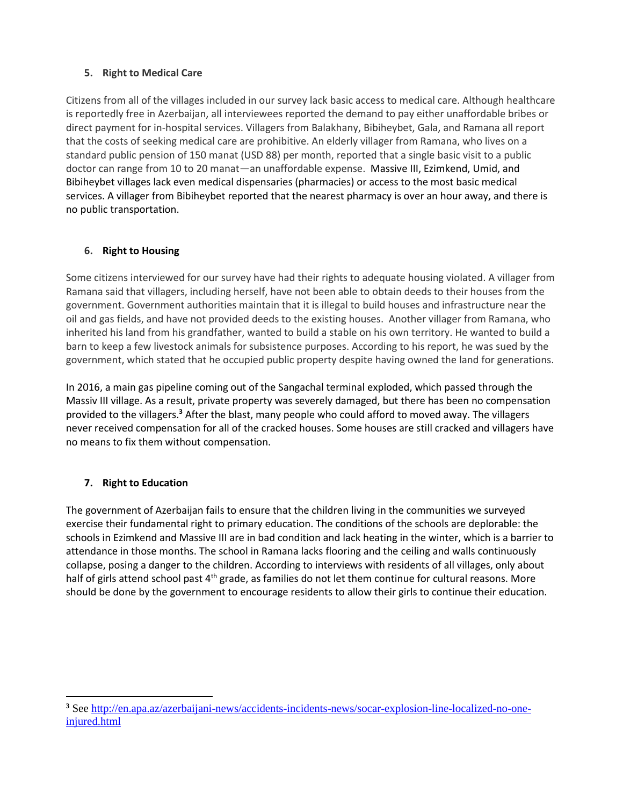# **5. Right to Medical Care**

Citizens from all of the villages included in our survey lack basic access to medical care. Although healthcare is reportedly free in Azerbaijan, all interviewees reported the demand to pay either unaffordable bribes or direct payment for in-hospital services. Villagers from Balakhany, Bibiheybet, Gala, and Ramana all report that the costs of seeking medical care are prohibitive. An elderly villager from Ramana, who lives on a standard public pension of 150 manat (USD 88) per month, reported that a single basic visit to a public doctor can range from 10 to 20 manat—an unaffordable expense. Massive III, Ezimkend, Umid, and Bibiheybet villages lack even medical dispensaries (pharmacies) or access to the most basic medical services. A villager from Bibiheybet reported that the nearest pharmacy is over an hour away, and there is no public transportation.

# **6. Right to Housing**

Some citizens interviewed for our survey have had their rights to adequate housing violated. A villager from Ramana said that villagers, including herself, have not been able to obtain deeds to their houses from the government. Government authorities maintain that it is illegal to build houses and infrastructure near the oil and gas fields, and have not provided deeds to the existing houses. Another villager from Ramana, who inherited his land from his grandfather, wanted to build a stable on his own territory. He wanted to build a barn to keep a few livestock animals for subsistence purposes. According to his report, he was sued by the government, which stated that he occupied public property despite having owned the land for generations.

In 2016, a main gas pipeline coming out of the Sangachal terminal exploded, which passed through the Massiv III village. As a result, private property was severely damaged, but there has been no compensation provided to the villagers.**<sup>3</sup>** After the blast, many people who could afford to moved away. The villagers never received compensation for all of the cracked houses. Some houses are still cracked and villagers have no means to fix them without compensation.

# **7. Right to Education**

 $\overline{a}$ 

The government of Azerbaijan fails to ensure that the children living in the communities we surveyed exercise their fundamental right to primary education. The conditions of the schools are deplorable: the schools in Ezimkend and Massive III are in bad condition and lack heating in the winter, which is a barrier to attendance in those months. The school in Ramana lacks flooring and the ceiling and walls continuously collapse, posing a danger to the children. According to interviews with residents of all villages, only about half of girls attend school past 4<sup>th</sup> grade, as families do not let them continue for cultural reasons. More should be done by the government to encourage residents to allow their girls to continue their education.

**<sup>3</sup>** Se[e http://en.apa.az/azerbaijani-news/accidents-incidents-news/socar-explosion-line-localized-no-one](http://en.apa.az/azerbaijani-news/accidents-incidents-news/socar-explosion-line-localized-no-one-injured.html)[injured.html](http://en.apa.az/azerbaijani-news/accidents-incidents-news/socar-explosion-line-localized-no-one-injured.html)